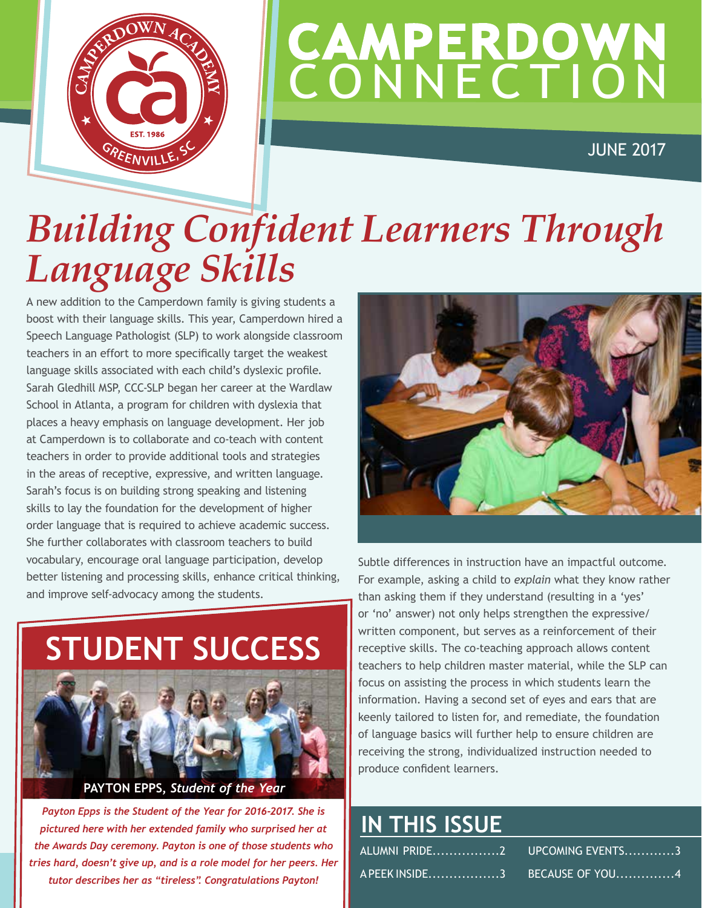

## **CAMPERDOWN CONNECTION**

JUNE 2017

### *Building Confident Learners Through Language Skills*

A new addition to the Camperdown family is giving students a boost with their language skills. This year, Camperdown hired a Speech Language Pathologist (SLP) to work alongside classroom teachers in an effort to more specifically target the weakest language skills associated with each child's dyslexic profile. Sarah Gledhill MSP, CCC-SLP began her career at the Wardlaw School in Atlanta, a program for children with dyslexia that places a heavy emphasis on language development. Her job at Camperdown is to collaborate and co-teach with content teachers in order to provide additional tools and strategies in the areas of receptive, expressive, and written language. Sarah's focus is on building strong speaking and listening skills to lay the foundation for the development of higher order language that is required to achieve academic success. She further collaborates with classroom teachers to build vocabulary, encourage oral language participation, develop better listening and processing skills, enhance critical thinking, and improve self-advocacy among the students.





**PAYTON EPPS,** *Student of the Year*

*Payton Epps is the Student of the Year for 2016-2017. She is pictured here with her extended family who surprised her at the Awards Day ceremony. Payton is one of those students who tries hard, doesn't give up, and is a role model for her peers. Her tutor describes her as "tireless". Congratulations Payton!*

Subtle differences in instruction have an impactful outcome. For example, asking a child to *explain* what they know rather than asking them if they understand (resulting in a 'yes' or 'no' answer) not only helps strengthen the expressive/ written component, but serves as a reinforcement of their receptive skills. The co-teaching approach allows content teachers to help children master material, while the SLP can focus on assisting the process in which students learn the information. Having a second set of eyes and ears that are keenly tailored to listen for, and remediate, the foundation of language basics will further help to ensure children are receiving the strong, individualized instruction needed to produce confident learners.

### **IN THIS ISSUE**

| A PEEK INSIDE3         BECAUSE OF  YOU4 |
|-----------------------------------------|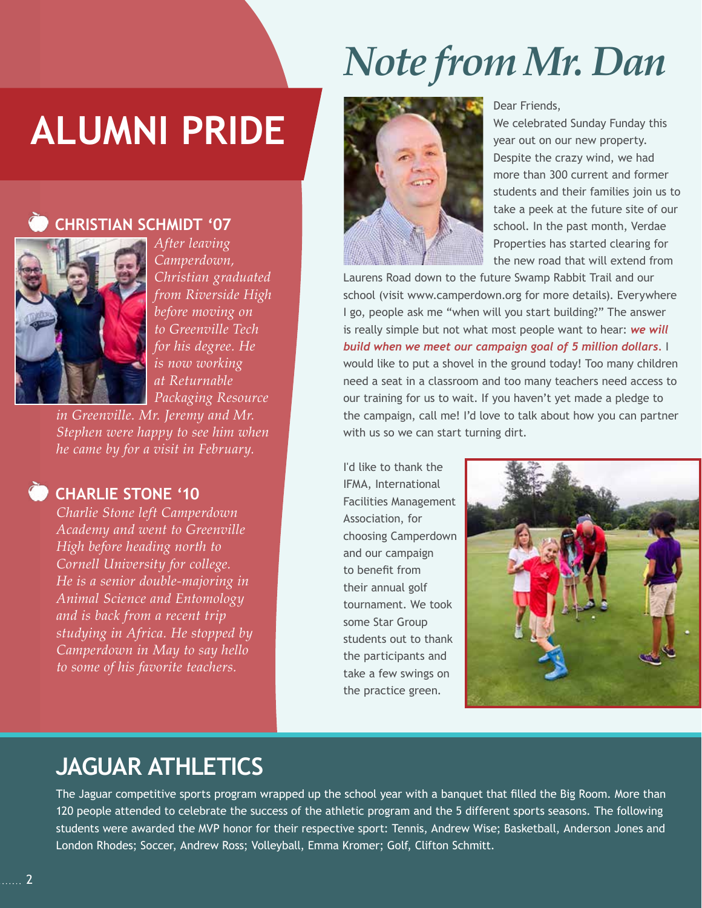### **ALUMNI PRIDE**

 **CHRISTIAN SCHMIDT '07**

### *Note from Mr. Dan*



Dear Friends,

We celebrated Sunday Funday this year out on our new property. Despite the crazy wind, we had more than 300 current and former students and their families join us to take a peek at the future site of our school. In the past month, Verdae Properties has started clearing for the new road that will extend from

Laurens Road down to the future Swamp Rabbit Trail and our school (visit www.camperdown.org for more details). Everywhere I go, people ask me "when will you start building?" The answer is really simple but not what most people want to hear: *we will build when we meet our campaign goal of 5 million dollars.* I would like to put a shovel in the ground today! Too many children need a seat in a classroom and too many teachers need access to our training for us to wait. If you haven't yet made a pledge to the campaign, call me! I'd love to talk about how you can partner with us so we can start turning dirt.

I'd like to thank the IFMA, International Facilities Management Association, for choosing Camperdown and our campaign to benefit from their annual golf tournament. We took some Star Group students out to thank the participants and take a few swings on the practice green.



### **JAGUAR ATHLETICS**

The Jaguar competitive sports program wrapped up the school year with a banquet that filled the Big Room. More than 120 people attended to celebrate the success of the athletic program and the 5 different sports seasons. The following students were awarded the MVP honor for their respective sport: Tennis, Andrew Wise; Basketball, Anderson Jones and London Rhodes; Soccer, Andrew Ross; Volleyball, Emma Kromer; Golf, Clifton Schmitt.



*After leaving Camperdown, Christian graduated from Riverside High before moving on to Greenville Tech for his degree. He is now working at Returnable Packaging Resource* 

*in Greenville. Mr. Jeremy and Mr. Stephen were happy to see him when he came by for a visit in February.*

#### CHARLIE STONE '10

*Charlie Stone left Camperdown Academy and went to Greenville High before heading north to Cornell University for college. He is a senior double-majoring in Animal Science and Entomology and is back from a recent trip studying in Africa. He stopped by Camperdown in May to say hello to some of his favorite teachers.*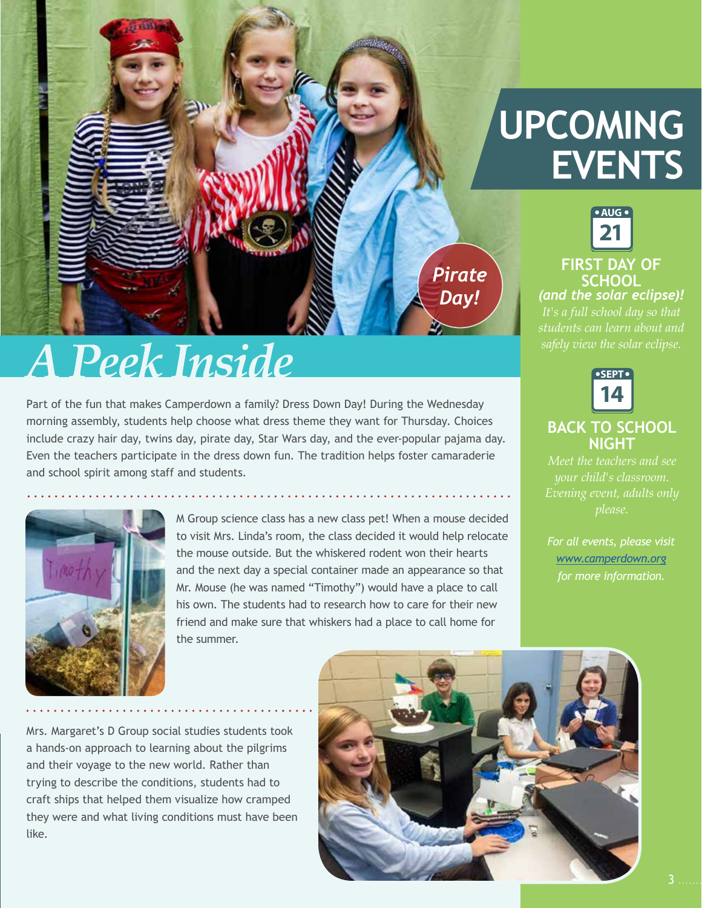

### **A Peek Inside**

Part of the fun that makes Camperdown a family? Dress Down Day! During the Wednesday morning assembly, students help choose what dress theme they want for Thursday. Choices include crazy hair day, twins day, pirate day, Star Wars day, and the ever-popular pajama day. Even the teachers participate in the dress down fun. The tradition helps foster camaraderie and school spirit among staff and students.



M Group science class has a new class pet! When a mouse decided to visit Mrs. Linda's room, the class decided it would help relocate the mouse outside. But the whiskered rodent won their hearts and the next day a special container made an appearance so that Mr. Mouse (he was named "Timothy") would have a place to call his own. The students had to research how to care for their new friend and make sure that whiskers had a place to call home for the summer.

### **UPCOMING EVENTS**

**AUG 21 FIRST DAY OF SCHOOL** *(and the solar eclipse)! It's a full school day so that* 



#### **BACK TO SCHOOL NIGHT**

*Meet the teachers and see please.*

*[www.camperdown.org](http://www.camperdown.org) for more information.*

Mrs. Margaret's D Group social studies students took a hands-on approach to learning about the pilgrims and their voyage to the new world. Rather than trying to describe the conditions, students had to craft ships that helped them visualize how cramped they were and what living conditions must have been like.